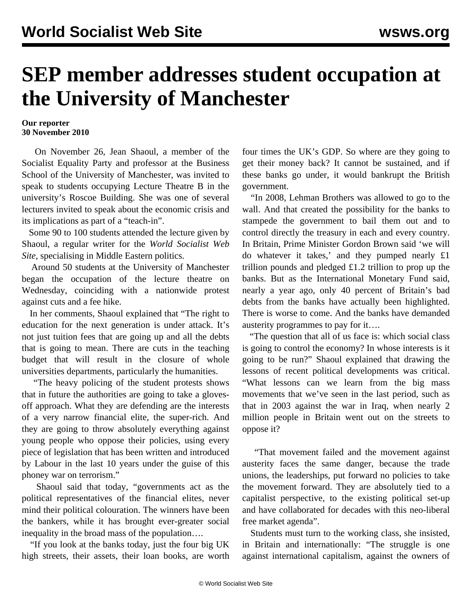## **SEP member addresses student occupation at the University of Manchester**

## **Our reporter 30 November 2010**

 On November 26, Jean Shaoul, a member of the Socialist Equality Party and professor at the Business School of the University of Manchester, was invited to speak to students occupying Lecture Theatre B in the university's Roscoe Building. She was one of several lecturers invited to speak about the economic crisis and its implications as part of a "teach-in".

 Some 90 to 100 students attended the lecture given by Shaoul, a regular writer for the *World Socialist Web Site*, specialising in Middle Eastern politics.

 Around 50 students at the University of Manchester began the occupation of the lecture theatre on Wednesday, coinciding with a nationwide protest against cuts and a fee hike.

 In her comments, Shaoul explained that "The right to education for the next generation is under attack. It's not just tuition fees that are going up and all the debts that is going to mean. There are cuts in the teaching budget that will result in the closure of whole universities departments, particularly the humanities.

 "The heavy policing of the student protests shows that in future the authorities are going to take a glovesoff approach. What they are defending are the interests of a very narrow financial elite, the super-rich. And they are going to throw absolutely everything against young people who oppose their policies, using every piece of legislation that has been written and introduced by Labour in the last 10 years under the guise of this phoney war on terrorism."

 Shaoul said that today, "governments act as the political representatives of the financial elites, never mind their political colouration. The winners have been the bankers, while it has brought ever-greater social inequality in the broad mass of the population….

 "If you look at the banks today, just the four big UK high streets, their assets, their loan books, are worth four times the UK's GDP. So where are they going to get their money back? It cannot be sustained, and if these banks go under, it would bankrupt the British government.

 "In 2008, Lehman Brothers was allowed to go to the wall. And that created the possibility for the banks to stampede the government to bail them out and to control directly the treasury in each and every country. In Britain, Prime Minister Gordon Brown said 'we will do whatever it takes,' and they pumped nearly £1 trillion pounds and pledged  $\pounds$ 1.2 trillion to prop up the banks. But as the International Monetary Fund said, nearly a year ago, only 40 percent of Britain's bad debts from the banks have actually been highlighted. There is worse to come. And the banks have demanded austerity programmes to pay for it….

 "The question that all of us face is: which social class is going to control the economy? In whose interests is it going to be run?" Shaoul explained that drawing the lessons of recent political developments was critical. "What lessons can we learn from the big mass movements that we've seen in the last period, such as that in 2003 against the war in Iraq, when nearly 2 million people in Britain went out on the streets to oppose it?

 "That movement failed and the movement against austerity faces the same danger, because the trade unions, the leaderships, put forward no policies to take the movement forward. They are absolutely tied to a capitalist perspective, to the existing political set-up and have collaborated for decades with this neo-liberal free market agenda".

 Students must turn to the working class, she insisted, in Britain and internationally: "The struggle is one against international capitalism, against the owners of